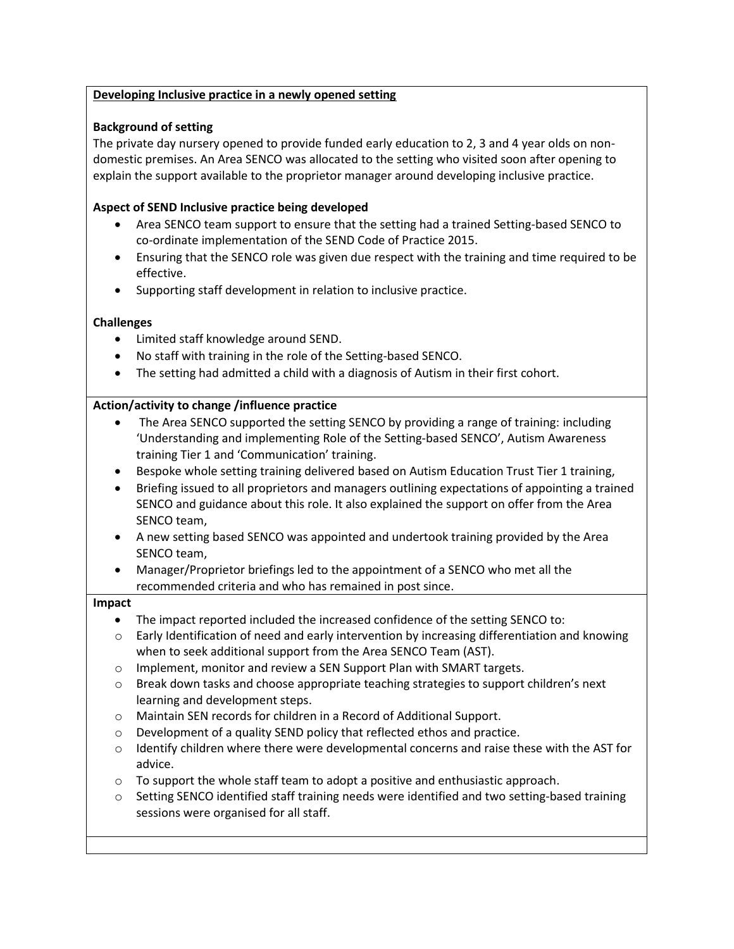## **Developing Inclusive practice in a newly opened setting**

# **Background of setting**

The private day nursery opened to provide funded early education to 2, 3 and 4 year olds on nondomestic premises. An Area SENCO was allocated to the setting who visited soon after opening to explain the support available to the proprietor manager around developing inclusive practice.

## **Aspect of SEND Inclusive practice being developed**

- Area SENCO team support to ensure that the setting had a trained Setting-based SENCO to co-ordinate implementation of the SEND Code of Practice 2015.
- Ensuring that the SENCO role was given due respect with the training and time required to be effective.
- Supporting staff development in relation to inclusive practice.

### **Challenges**

- Limited staff knowledge around SEND.
- No staff with training in the role of the Setting-based SENCO.
- The setting had admitted a child with a diagnosis of Autism in their first cohort.

### **Action/activity to change /influence practice**

- The Area SENCO supported the setting SENCO by providing a range of training: including 'Understanding and implementing Role of the Setting-based SENCO', Autism Awareness training Tier 1 and 'Communication' training.
- Bespoke whole setting training delivered based on Autism Education Trust Tier 1 training,
- Briefing issued to all proprietors and managers outlining expectations of appointing a trained SENCO and guidance about this role. It also explained the support on offer from the Area SENCO team,
- A new setting based SENCO was appointed and undertook training provided by the Area SENCO team,
- Manager/Proprietor briefings led to the appointment of a SENCO who met all the recommended criteria and who has remained in post since.

### **Impact**

- The impact reported included the increased confidence of the setting SENCO to:
- $\circ$  Early Identification of need and early intervention by increasing differentiation and knowing when to seek additional support from the Area SENCO Team (AST).
- o Implement, monitor and review a SEN Support Plan with SMART targets.
- o Break down tasks and choose appropriate teaching strategies to support children's next learning and development steps.
- o Maintain SEN records for children in a Record of Additional Support.
- o Development of a quality SEND policy that reflected ethos and practice.
- $\circ$  Identify children where there were developmental concerns and raise these with the AST for advice.
- $\circ$  To support the whole staff team to adopt a positive and enthusiastic approach.
- o Setting SENCO identified staff training needs were identified and two setting-based training sessions were organised for all staff.